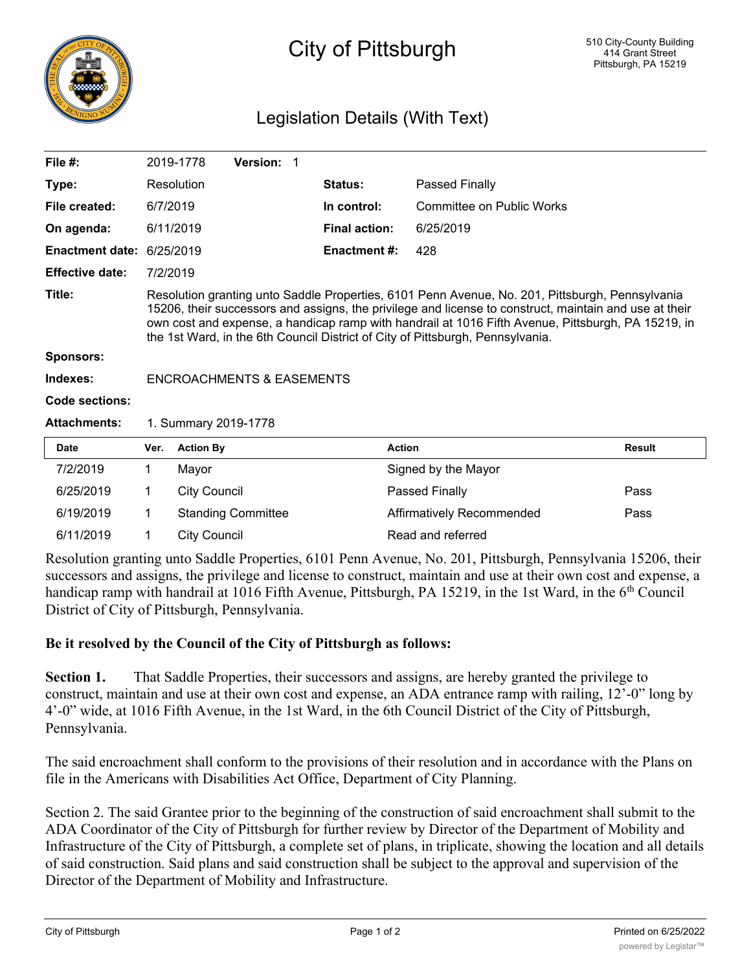

## City of Pittsburgh

## Legislation Details (With Text)

| File $#$ :             |                                                                                                                                                                                                                                                                                                                                                                                                   | 2019-1778           | <b>Version: 1</b>         |  |                      |                           |  |               |
|------------------------|---------------------------------------------------------------------------------------------------------------------------------------------------------------------------------------------------------------------------------------------------------------------------------------------------------------------------------------------------------------------------------------------------|---------------------|---------------------------|--|----------------------|---------------------------|--|---------------|
| Type:                  |                                                                                                                                                                                                                                                                                                                                                                                                   | Resolution          |                           |  | <b>Status:</b>       | Passed Finally            |  |               |
| File created:          | 6/7/2019                                                                                                                                                                                                                                                                                                                                                                                          |                     |                           |  | In control:          | Committee on Public Works |  |               |
| On agenda:             |                                                                                                                                                                                                                                                                                                                                                                                                   | 6/11/2019           |                           |  | <b>Final action:</b> | 6/25/2019                 |  |               |
| <b>Enactment date:</b> |                                                                                                                                                                                                                                                                                                                                                                                                   | 6/25/2019           |                           |  | <b>Enactment #:</b>  | 428                       |  |               |
| <b>Effective date:</b> | 7/2/2019                                                                                                                                                                                                                                                                                                                                                                                          |                     |                           |  |                      |                           |  |               |
| Title:                 | Resolution granting unto Saddle Properties, 6101 Penn Avenue, No. 201, Pittsburgh, Pennsylvania<br>15206, their successors and assigns, the privilege and license to construct, maintain and use at their<br>own cost and expense, a handicap ramp with handrail at 1016 Fifth Avenue, Pittsburgh, PA 15219, in<br>the 1st Ward, in the 6th Council District of City of Pittsburgh, Pennsylvania. |                     |                           |  |                      |                           |  |               |
| <b>Sponsors:</b>       |                                                                                                                                                                                                                                                                                                                                                                                                   |                     |                           |  |                      |                           |  |               |
| Indexes:               | <b>ENCROACHMENTS &amp; EASEMENTS</b>                                                                                                                                                                                                                                                                                                                                                              |                     |                           |  |                      |                           |  |               |
| Code sections:         |                                                                                                                                                                                                                                                                                                                                                                                                   |                     |                           |  |                      |                           |  |               |
| <b>Attachments:</b>    | 1. Summary 2019-1778                                                                                                                                                                                                                                                                                                                                                                              |                     |                           |  |                      |                           |  |               |
| <b>Date</b>            | Ver.                                                                                                                                                                                                                                                                                                                                                                                              | <b>Action By</b>    |                           |  |                      | <b>Action</b>             |  | <b>Result</b> |
| 7/2/2019               | 1                                                                                                                                                                                                                                                                                                                                                                                                 | Mayor               |                           |  |                      | Signed by the Mayor       |  |               |
| 6/25/2019              | 1                                                                                                                                                                                                                                                                                                                                                                                                 | <b>City Council</b> |                           |  |                      | Passed Finally            |  | Pass          |
| 6/19/2019              | 1                                                                                                                                                                                                                                                                                                                                                                                                 |                     | <b>Standing Committee</b> |  |                      | Affirmatively Recommended |  | Pass          |
| 6/11/2019              | 1                                                                                                                                                                                                                                                                                                                                                                                                 | <b>City Council</b> |                           |  |                      | Read and referred         |  |               |

Resolution granting unto Saddle Properties, 6101 Penn Avenue, No. 201, Pittsburgh, Pennsylvania 15206, their successors and assigns, the privilege and license to construct, maintain and use at their own cost and expense, a handicap ramp with handrail at 1016 Fifth Avenue, Pittsburgh, PA 15219, in the 1st Ward, in the  $6<sup>th</sup>$  Council District of City of Pittsburgh, Pennsylvania.

## **Be it resolved by the Council of the City of Pittsburgh as follows:**

**Section 1.** That Saddle Properties, their successors and assigns, are hereby granted the privilege to construct, maintain and use at their own cost and expense, an ADA entrance ramp with railing, 12'-0" long by 4'-0" wide, at 1016 Fifth Avenue, in the 1st Ward, in the 6th Council District of the City of Pittsburgh, Pennsylvania.

The said encroachment shall conform to the provisions of their resolution and in accordance with the Plans on file in the Americans with Disabilities Act Office, Department of City Planning.

Section 2. The said Grantee prior to the beginning of the construction of said encroachment shall submit to the ADA Coordinator of the City of Pittsburgh for further review by Director of the Department of Mobility and Infrastructure of the City of Pittsburgh, a complete set of plans, in triplicate, showing the location and all details of said construction. Said plans and said construction shall be subject to the approval and supervision of the Director of the Department of Mobility and Infrastructure.